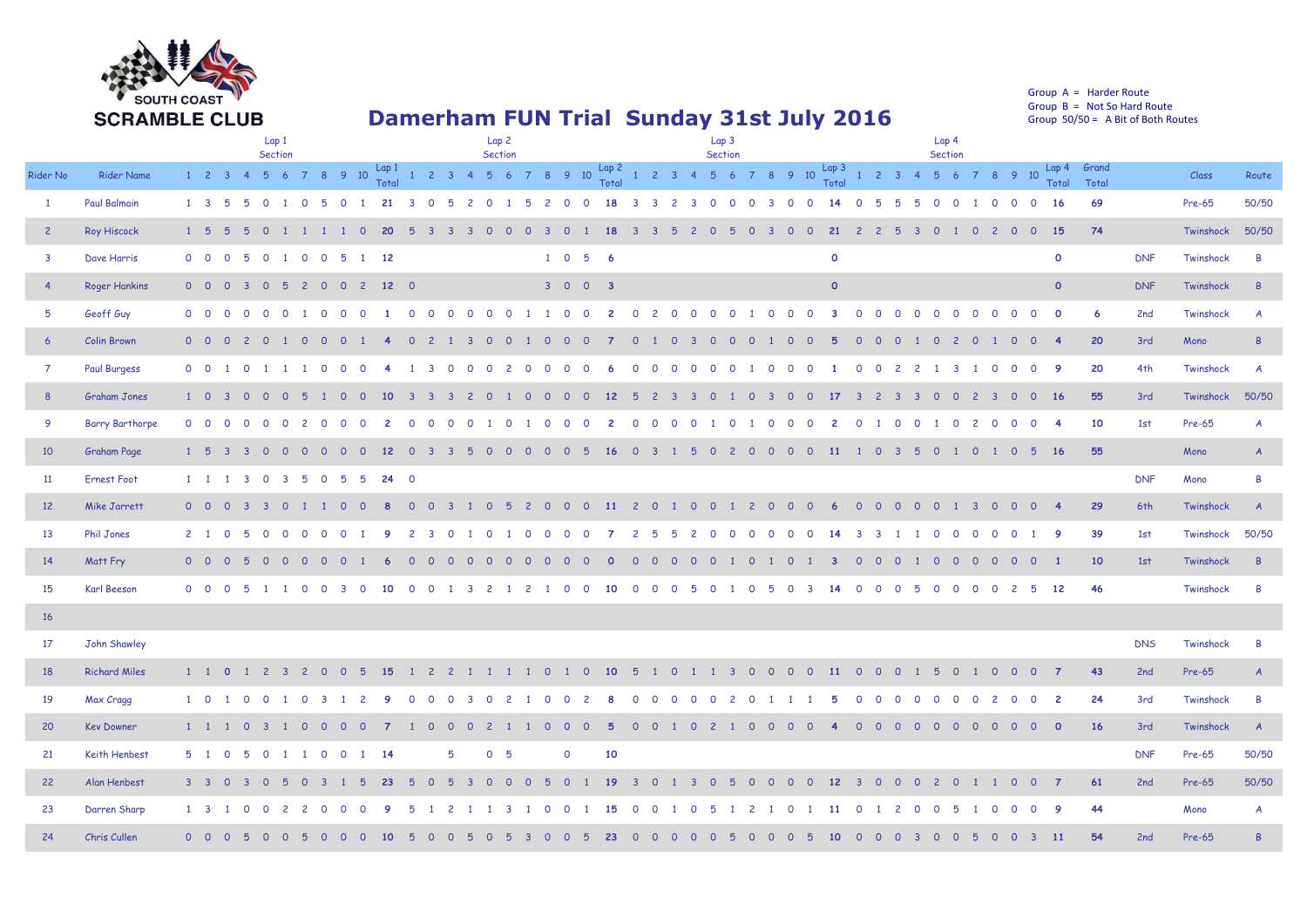

## **Damerham FUN Trial Sunday 31st July 2016**

Group A = Harder Route Group  $B = Not So Hard Route$ Group 50/50 = A Bit of Both Routes

|                         |                        | Lap1<br>Section                                                                                                                                       | Lap <sub>2</sub><br>Section                                                                                                                                                | Lap 3<br>Section                                                                                                                                                                                              | Lap <sub>4</sub><br>Section                                                                                           |                                           |
|-------------------------|------------------------|-------------------------------------------------------------------------------------------------------------------------------------------------------|----------------------------------------------------------------------------------------------------------------------------------------------------------------------------|---------------------------------------------------------------------------------------------------------------------------------------------------------------------------------------------------------------|-----------------------------------------------------------------------------------------------------------------------|-------------------------------------------|
| Rider No                | <b>Rider Name</b>      | $1 \quad 2 \quad 3 \quad 4$                                                                                                                           |                                                                                                                                                                            | 5 6 7 8 9 10 $\frac{\text{Lap1}}{\text{Total}}$ 1 2 3 4 5 6 7 8 9 10 $\frac{\text{Lap2}}{\text{Total}}$ 1 2 3 4 5 6 7 8 9 10 $\frac{\text{Lap3}}{\text{Total}}$ 1 2 3 4 5 6 7 8 9 10                          | Lap 4 Grand<br>Total<br>Total                                                                                         | Class<br>Route                            |
| $\mathbf{1}$            | <b>Paul Balmain</b>    | $1 \quad 3 \quad 5$<br>1 0 5 0<br>21<br>$\overline{O}$<br>$\blacksquare$<br>-5<br>- 3                                                                 | $\overline{c}$<br>$\Omega$<br>$\overline{0}$<br>18<br>- 5<br>$\overline{2}$<br>$\overline{0}$<br>1 5<br>$\overline{\mathbf{0}}$                                            | $\overline{\mathbf{3}}$<br>3 0<br>$\overline{0}$<br>$\overline{0}$<br>$\overline{\mathbf{3}}$<br>$\overline{0}$<br>$\overline{0}$<br>5 5<br>-5<br>$\overline{\mathbf{3}}$<br>$\overline{2}$<br>14<br>$\Omega$ | 69<br>$\overline{0}$<br>$\overline{0}$<br>$\circ$<br>$\overline{0}$<br>- 16<br>$\overline{0}$                         | 50/50<br>Pre-65                           |
| $\overline{2}$          | <b>Roy Hiscock</b>     | $1\quad 5$<br>20<br>$\Omega$<br>$\mathbf{0}$                                                                                                          | <b>18</b><br>$\Omega$<br>$\Omega$<br>3<br>$\Omega$                                                                                                                         | 21<br>$\circ$<br>$\overline{2}$<br>$\overline{2}$<br>5<br>$\Omega$<br>$\overline{\mathbf{3}}$                                                                                                                 | 74<br>15<br>$\circ$<br>$\overline{0}$<br>$\overline{0}$<br>$\overline{0}$<br>$\overline{1}$<br>$\overline{c}$         | 50/50<br>Twinshock                        |
| $\overline{\mathbf{3}}$ | Dave Harris            | $\overline{0}$<br>1 0 0 5<br>$1 \quad 12$<br>$0\quad 0\quad 0$<br>-5                                                                                  | $1 \t0 \t5 \t6$                                                                                                                                                            | $\circ$                                                                                                                                                                                                       | $\circ$                                                                                                               | <b>DNF</b><br>Twinshock<br>$\overline{B}$ |
| $\overline{4}$          | <b>Roger Hankins</b>   | $0\quad 0$<br>2 0 0<br>$\overline{2}$<br>$12\quad$ 0<br>$\overline{\mathbf{0}}$<br>$0 5$<br>-3                                                        | 3 0 0 3                                                                                                                                                                    | $\circ$                                                                                                                                                                                                       | $\circ$                                                                                                               | <b>DNF</b><br>Twinshock<br>$\overline{R}$ |
| $5\overline{5}$         | Geoff Guy              | $0\quad 0$                                                                                                                                            |                                                                                                                                                                            |                                                                                                                                                                                                               | 6<br>$\overline{0}$<br>$\overline{0}$<br>$\overline{\mathbf{0}}$<br>$\circ$                                           | 2nd<br>Twinshock<br>$\overline{A}$        |
| $6\overline{6}$         | <b>Colin Brown</b>     | $0\quad 0$<br>$\circ$<br>$\overline{\mathbf{0}}$<br>$\mathbf{2}$<br>$\overline{0}$<br>$\overline{O}$<br>- റ<br>$\Omega$                               | $\mathbf{2}$<br>$\Omega$<br>$\Omega$<br>$\Omega$<br>- റ                                                                                                                    | $\circ$<br>$\circ$<br>$\Omega$<br>- 0<br>$\Omega$<br>$\Omega$<br>-5<br>$\Omega$<br>- 0                                                                                                                        | 20<br>$\overline{0}$<br>$\overline{0}$<br>$\overline{4}$<br>$\circ$<br>$\mathbf{2}$<br>$\Omega$                       | 3rd<br>Mono<br>$\overline{B}$             |
| $\overline{7}$          | <b>Paul Burgess</b>    | $0\quad 0$<br>$\Omega$<br>$\Omega$<br>$\overline{1}$<br>$\circ$<br>$\Omega$                                                                           | 3<br>$\Omega$<br>$\Omega$<br>$\Omega$<br>$\overline{2}$<br>$\Omega$<br>$\Omega$<br>$\Omega$<br>$\Omega$<br>-6                                                              | $\Omega$<br>$\overline{c}$<br>$\Omega$<br>$\Omega$<br>$\Omega$<br>$\Omega$<br>$\Omega$<br>$\Omega$<br>$\Omega$<br>$\Omega$<br>$\Omega$<br>$\Omega$<br>$\overline{c}$<br>- 1                                   | 20<br>$\overline{\mathbf{3}}$<br>$\circ$<br>$\overline{0}$<br>- 9<br>$\mathbf{1}$<br>$\overline{0}$<br>$\blacksquare$ | 4th<br>Twinshock<br>$\overline{A}$        |
| 8                       | <b>Graham Jones</b>    | $1 \quad 0 \quad 3$<br>$\circ$<br>$\overline{0}$<br>$\Omega$<br>- 5<br>$\overline{0}$<br>- 10<br>1 0<br>-3.                                           | $\overline{\mathbf{3}}$<br>$\overline{\mathbf{3}}$<br>$\Omega$<br>$\Omega$<br>$\Omega$<br>12<br>$\overline{z}$<br>1 O<br><u>റ</u>                                          | 5<br>$\Omega$<br>$\overline{\mathbf{3}}$<br>$\overline{0}$<br>17<br>$2 \quad 3$<br>$\mathcal{P}$<br>-3<br>-3<br>ം റ<br>- റ<br>$\overline{\mathbf{3}}$<br>- 3                                                  | 55<br>16<br>$\overline{0}$<br>$0\quad 0$<br>$\overline{O}$<br>$\overline{\mathbf{2}}$<br>- 3 -                        | 50/50<br>3rd<br>Twinshock                 |
| 9                       | <b>Barry Barthorpe</b> | $0\quad 0\quad 0$<br>$\overline{O}$<br>$\Omega$<br>$\Omega$<br>$\overline{2}$<br>$\Omega$<br>$\Omega$<br>$\overline{O}$<br>$\Omega$<br>$\overline{c}$ | $\Omega$<br>$\Omega$<br>$\circ$<br>$\overline{0}$<br>$\Omega$<br>$\Omega$<br>$\mathbf{2}$<br>$\Omega$<br>$\overline{1}$<br>$\blacksquare$                                  | $\overline{O}$<br>$\overline{0}$<br>$\Omega$<br>$\begin{array}{cc} 0 & 1 \end{array}$<br>$\Omega$<br>1 0<br>$\Omega$<br>$\overline{0}$<br>$\overline{2}$<br>$\circ$<br>1 0                                    | 10<br>0 1 0 2<br>$\overline{O}$<br>$0\quad 0$<br>$\overline{\mathbf{4}}$                                              | 1st<br>Pre-65<br>$\overline{A}$           |
| 10                      | Graham Page            | $1\quad 5\quad 3$<br>12<br>$\overline{0}$<br>$\Omega$<br>$\overline{0}$<br>$0\quad 0$<br>$\overline{0}$<br>- 3 -                                      | $0 \t3 \t3 \t5$<br>$\begin{array}{cccc} 0 & 0 & 0 \end{array}$<br>$0 \quad 0 \quad 5$<br>16                                                                                | 0 <sup>3</sup><br>2 0 0 0 0<br>$\overline{11}$<br>1 5 0                                                                                                                                                       | 55<br>1 0 3 5 0 1 0 1 0 5 16                                                                                          | Mono<br>$\overline{A}$                    |
| 11                      | <b>Ernest Foot</b>     | 1 1 1 3 0 3 5 0 5 5 24 0                                                                                                                              |                                                                                                                                                                            |                                                                                                                                                                                                               |                                                                                                                       | $\overline{B}$<br><b>DNF</b><br>Mono      |
| 12 <sup>°</sup>         | Mike Jarrett           | $0\quad 0$<br>$\overline{0}$<br>$\overline{O}$<br>-3.<br>-3<br>- 0<br>$\blacksquare$<br>- റ<br>$\Omega$                                               | $\Omega$<br>$\Omega$<br>$\overline{0}$<br>$\overline{0}$<br>$\overline{11}$<br>$\Omega$<br>-5<br>$\mathcal{P}$                                                             | 2 0<br>$\overline{0}$<br>$\overline{0}$<br>$\overline{0}$<br>$\Omega$<br>$\Omega$<br>$\Omega$<br>$\blacksquare$<br>$\overline{z}$<br>- റ<br>-6<br>$\Omega$<br>$\Omega$                                        | 29<br>$\Omega$<br>$\Omega$<br>$\overline{0}$<br>-3<br>$\Omega$                                                        | 6th<br>Twinshock<br>$\overline{A}$        |
| 13                      | <b>Phil Jones</b>      | $2 \quad 1$<br>$\Omega$<br>$\Omega$<br>$\Omega$<br>$\cap$<br>$\Omega$<br>$\Omega$<br>۰Q                                                               | $\Omega$<br>$\Omega$<br>्र<br>$\Omega$<br>$\cap$<br>- 0                                                                                                                    | $\Omega$<br>2<br>$\mathcal{L}$<br>$\Omega$<br>$\Omega$<br>$\Omega$<br>$\Omega$<br>$\Omega$<br>્ર<br>-3.                                                                                                       | 39<br>-9<br>$\circ$<br>$\Omega$<br>$\circ$<br>- റ<br>$\Omega$                                                         | 50/50<br>Twinshock<br>1st                 |
| 14                      | Matt Fry               | $0\quad 0$<br>$\Omega$<br>- റ<br>-5<br>. റ<br>- 0<br>$\Omega$<br>$\cap$                                                                               | $\Omega$<br>റ<br>$\Omega$<br>$\cap$<br>$\Omega$<br>- വ<br>- റ<br>- 0<br>n                                                                                                  | $\Omega$<br>$\Omega$<br>$\Omega$<br>$\Omega$<br>$\Omega$<br>$\cap$<br>$\Omega$<br>$\cap$<br>$\Omega$<br>$\Omega$                                                                                              | 10<br>$\Omega$<br>$\Omega$<br>$\Omega$<br>- 1<br>$\Omega$<br>$\Omega$<br>$\Omega$                                     | Twinshock<br>$\overline{R}$<br>1st        |
| 15                      | Karl Beeson            | $0\quad 0$<br>$\Omega$<br>$\Omega$<br>10                                                                                                              | $\circ$<br>10                                                                                                                                                              | $\Omega$<br>$\circ$<br>$\circ$                                                                                                                                                                                | 46<br>12<br>$\circ$<br>$\circ$<br>$\mathbf 0$<br>$\mathbf 0$<br>-5                                                    | Twinshock<br>$\overline{B}$               |
| 16                      |                        |                                                                                                                                                       |                                                                                                                                                                            |                                                                                                                                                                                                               |                                                                                                                       |                                           |
| 17                      | John Shawley           |                                                                                                                                                       |                                                                                                                                                                            |                                                                                                                                                                                                               |                                                                                                                       | <b>DNS</b><br>Twinshock<br>$\overline{B}$ |
| 18                      | <b>Richard Miles</b>   | 15<br>1 1 0 1 2<br>$0\quad 0$<br>$\overline{\mathbf{3}}$<br>$\overline{2}$<br>- 5<br>$\overline{1}$                                                   | $\overline{2}$<br>$\overline{2}$<br>$0 \quad 1 \quad 0$<br>10 <sup>°</sup><br>$\blacksquare$<br>$\blacksquare$                                                             | -5<br>$\Omega$<br>$\overline{0}$<br><b>11</b><br>$\Omega$<br>$\blacksquare$<br>$\overline{\mathbf{3}}$<br>$0\quad 0$<br>$\overline{0}$<br>$0\quad 0$<br>$\blacksquare$<br>$\blacksquare$                      | 43<br>$0\quad 0$<br>$\overline{0}$<br>$\circ$<br>$\overline{7}$<br>-5                                                 | 2nd<br>Pre-65<br>$\overline{A}$           |
| 19                      | Max Cragg              | $1 \quad 0 \quad 1$<br>$\Omega$<br>$\overline{0}$<br>1 0<br>$\overline{3}$ 1<br>$\overline{2}$<br>۰Q                                                  | $\Omega$<br>$\overline{\mathbf{3}}$<br>$\Omega$<br>$\overline{2}$<br>$\Omega$<br>$\Omega$<br>$\Omega$<br>$\overline{1}$<br>$\cap$<br>2<br>8                                | $\Omega$<br>$\Omega$<br>$\Omega$<br>$\Omega$<br>$\Omega$<br>5<br>$\Omega$<br>$\Omega$<br>$\Omega$<br>$\overline{2}$<br>$\Omega$<br>$\Omega$                                                                   | 24<br>$\Omega$<br>$\overline{O}$<br>$\Omega$<br>$\overline{\phantom{0}}$<br>$\Omega$<br>$\Omega$<br>$\overline{c}$    | 3rd<br>Twinshock<br>$\overline{B}$        |
| 20                      | <b>Kev Downer</b>      | $1 \quad 1 \quad 1$<br>$\overline{0}$<br>$\overline{\mathbf{3}}$<br>$\overline{0}$<br>$\overline{0}$<br>$\overline{0}$<br>- റ                         | $\begin{array}{ccccccccc}\n0 & 0 & 0 & 0\n\end{array}$<br>$-5$<br>$\overline{0}$<br>$\overline{0}$<br>$\overline{0}$<br>$\overline{2}$<br>$\overline{1}$<br>$\overline{1}$ | $0\quad 0$<br>1 0 0 0 0<br>$\overline{0}$<br>$0\quad 0$<br>1 0 2<br>$\overline{4}$                                                                                                                            | 16<br>0 0 0 0 0 0 0<br><b>O</b>                                                                                       | 3rd<br>$\overline{A}$<br>Twinshock        |
| 21                      | Keith Henbest          | 5 1 0<br>5 0<br>1 1 0 0<br>1 14                                                                                                                       | 0 <sub>5</sub><br>10<br>5<br>$\mathbf 0$                                                                                                                                   |                                                                                                                                                                                                               |                                                                                                                       | 50/50<br><b>DNF</b><br>Pre-65             |
| 22                      | Alan Henbest           | $3 \quad 3$<br>$\overline{\mathbf{0}}$<br>$\Omega$<br>23<br>-3<br>$\Omega$                                                                            | <b>19</b>                                                                                                                                                                  | $12 \overline{ }$                                                                                                                                                                                             | 61<br>$\overline{7}$<br>$\circ$<br>$\circ$                                                                            | Pre-65<br>50/50<br>2nd                    |
| 23                      | Darren Sharp           | $1 \quad 3$<br>$\Omega$<br>$\Omega$<br>$\overline{\phantom{a}}$<br>$\mathcal{L}$<br>$\Omega$                                                          |                                                                                                                                                                            | 11<br>$\Omega$<br>- റ<br>$\Omega$<br>$\mathcal{L}$<br>- 0                                                                                                                                                     | 44<br>- 9<br>-5<br>$\Omega$<br>$\circ$<br>$\Omega$<br>$\Omega$                                                        | Mono<br>$\overline{A}$                    |
| 24                      | Chris Cullen           | $0\quad 0$<br>$\Omega$<br>10                                                                                                                          | 23                                                                                                                                                                         | 10                                                                                                                                                                                                            | 54<br>$\Omega$<br>$\Omega$<br><b>11</b>                                                                               | Pre-65<br>2nd<br><b>R</b>                 |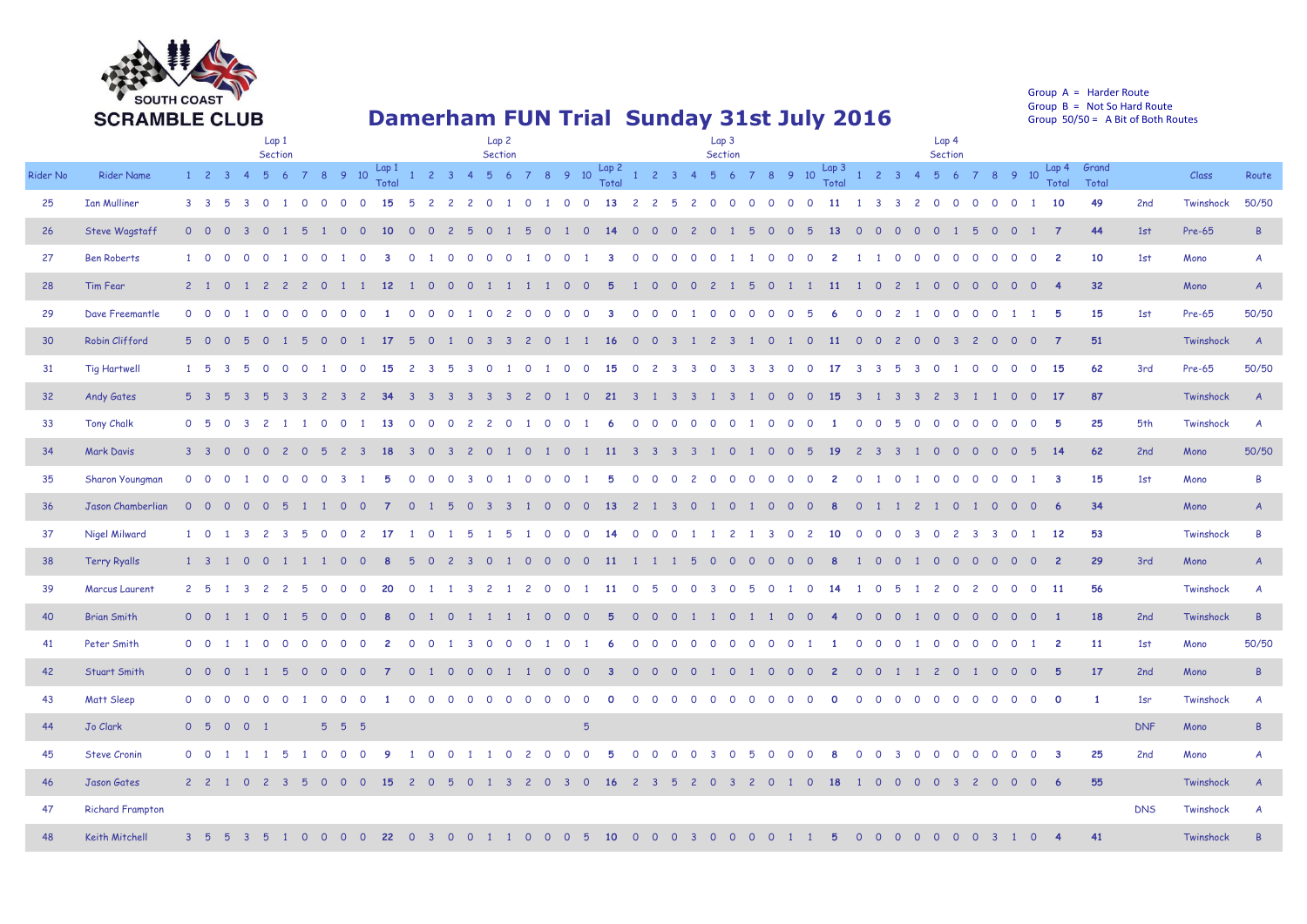

## **Damerham FUN Trial Sunday 31st July 2016**

Group A = Harder Route Group  $B = Not So Hard Route$ Group 50/50 = A Bit of Both Routes

|          |                         | Lap <sub>1</sub><br>Section                                                                                  | Lap <sub>2</sub><br>Section                                                                                                                                         | Lap <sub>3</sub><br>Section                                                                                                          |                                                                                                                      | Lap <sub>4</sub><br>Section                                                                                       |                                                  |
|----------|-------------------------|--------------------------------------------------------------------------------------------------------------|---------------------------------------------------------------------------------------------------------------------------------------------------------------------|--------------------------------------------------------------------------------------------------------------------------------------|----------------------------------------------------------------------------------------------------------------------|-------------------------------------------------------------------------------------------------------------------|--------------------------------------------------|
| Rider No | <b>Rider Name</b>       | $1 \quad 2 \quad 3 \quad 4$<br>5 6                                                                           | 7 8 9 10 $\frac{\text{Lap1}}{\text{Total}}$ 1 2 3 4 5 6 7 8 9 10 $\frac{\text{Lap2}}{\text{Total}}$ 1 2 3 4 5 6 7 8 9 10 $\frac{\text{Lap3}}{\text{Total}}$ 1 2 3 4 |                                                                                                                                      |                                                                                                                      | 7 8 9 10<br>5 6<br><b>Total</b>                                                                                   | Lap 4 Grand<br>Class<br>Route<br>Total           |
| 25       | <b>Ian Mulliner</b>     | $3 \quad 3 \quad 5$<br>3 0 1 0 0 0                                                                           | 15<br>$0 \quad 1 \quad 0$<br>$\overline{0}$<br>-5<br>2 2 2                                                                                                          | 1 0<br>$\overline{0}$<br>13<br>2 <sub>2</sub><br>$-5$<br>$2 \quad 0$                                                                 | $0\quad 0\quad 0$<br>$\overline{0}$<br>$\overline{0}$<br><b>11</b><br>1 3 3 2 0 0                                    | 10<br>$\Omega$<br>$\overline{0}$<br>$\overline{O}$                                                                | 49<br>50/50<br>2nd<br>Twinshock                  |
| 26       | Steve Wagstaff          | $0\quad 0$<br>$\overline{0}$<br>$\Omega$                                                                     | 10 <sup>°</sup><br>$\Omega$<br>$\Omega$<br>$\Omega$<br>$\Omega$                                                                                                     | $\overline{0}$<br>-5<br>$\Omega$<br>14<br>$\circ$<br>$\overline{0}$<br>$\overline{z}$<br>$\Omega$                                    | 13<br>$\overline{0}$<br>$\Omega$<br>$\Omega$<br>5<br>$\circ$<br>$\circ$<br>$\overline{0}$                            | $\overline{7}$<br>$\Omega$<br>$\circ$<br>$\overline{0}$                                                           | 1st<br>44<br>Pre-65<br>$\mathsf{B}$              |
| 27       | <b>Ben Roberts</b>      | $1 \quad 0$<br>$\Omega$<br>$\Omega$<br>$\Omega$                                                              |                                                                                                                                                                     |                                                                                                                                      | $\Omega$<br>$\Omega$                                                                                                 | $\overline{2}$<br>$\Omega$<br>- 0<br>$\Omega$<br>$\Omega$                                                         | 10<br>1st<br>Mono<br>$\overline{A}$              |
| 28       | Tim Fear                | $2 \quad 1$<br>$\overline{\mathbf{0}}$                                                                       | $12 \overline{ }$<br>$\circ$                                                                                                                                        |                                                                                                                                      | <b>11</b><br>$\circ$<br>$\overline{c}$                                                                               | $\overline{0}$<br>$\circ$<br>$\overline{4}$<br>$\circ$<br>$\circ$<br>$\circ$<br>$\circ$                           | 32<br>Mono<br>$\overline{A}$                     |
| 29       | Dave Freemantle         | $0\quad 0$<br>$\Omega$<br>$\Omega$<br>$\Omega$<br>$\Omega$                                                   | $\Omega$<br>$\Omega$<br>$\cap$<br>$\Omega$<br>$\Omega$<br>- 0<br>$\mathcal{L}$                                                                                      | $\cap$<br>$\Omega$<br>$\Omega$<br>$\Omega$<br>$\Omega$<br>$\Omega$                                                                   | $\cap$<br>$\Omega$<br>$\Omega$<br>$\cap$<br>$\Omega$<br>$\Omega$                                                     | -5<br>$\Omega$<br>$\Omega$<br>$\Omega$<br>$\cap$<br>$\mathbf{1}$                                                  | 50/50<br>15<br>1st<br>Pre-65                     |
| 30       | Robin Clifford          | 5 0<br>$\Omega$<br>-5<br>$\Omega$                                                                            | 17<br>$\Omega$<br>$\Omega$<br>$\Omega$<br>$\Omega$<br>-3<br>-3                                                                                                      | <b>16</b><br>$\Omega$<br>$\Omega$<br>-3                                                                                              | $\Omega$<br>$\Omega$<br><b>11</b><br>$\Omega$<br>$\Omega$<br>$\overline{c}$<br>$\Omega$                              | $\Omega$<br>$\overline{\mathbf{3}}$<br>$\overline{0}$<br>$\Omega$<br>$\Omega$<br>$\overline{7}$<br>$\overline{c}$ | 51<br>Twinshock<br>$\overline{A}$                |
| 31       | <b>Tig Hartwell</b>     | 1 5<br>$\Omega$                                                                                              | - 0<br>$\Omega$<br>15                                                                                                                                               | 15<br>- റ<br>- റ<br>$\Omega$                                                                                                         | $\Omega$<br>-17<br>્ર<br>्र<br>$\Omega$                                                                              | 15<br>$\Omega$<br>$\Omega$<br>- റ<br>- 0                                                                          | 62<br>3rd<br>50/50<br>Pre-65                     |
| 32       | <b>Andy Gates</b>       | 5 <sup>3</sup><br>- 5<br>$\overline{\mathbf{3}}$<br>-5<br>$\overline{\mathbf{3}}$<br>$\overline{\mathbf{3}}$ | $2 \quad 3$<br>$\overline{c}$<br>34<br>$\overline{3}$<br>$\overline{\mathbf{3}}$<br>$\overline{3}$<br>$\overline{3}$<br>-3<br>-3                                    | 21<br>$\overline{c}$<br>$\Omega$<br>$\overline{\mathbf{0}}$<br>$\overline{3}$<br>$\overline{\mathbf{3}}$<br>$\overline{\mathbf{3}}$  | 15<br>$\Omega$<br>$\Omega$<br>$\circ$<br>-3<br>-3<br>$\overline{1}$<br>-3<br>-3                                      | 17<br>$\overline{c}$<br>$\overline{\mathbf{3}}$<br>$\Omega$<br>$\overline{0}$<br>$\blacksquare$                   | 87<br>Twinshock<br>$\overline{A}$                |
| 33       | <b>Tony Chalk</b>       | 0 <sub>5</sub><br>$\overline{0}$<br>$\overline{\mathbf{3}}$<br>$\overline{c}$                                | $\circ$<br>$\overline{0}$<br>13<br>$\Omega$<br>$\circ$<br>$\overline{0}$<br>$\Omega$<br>$\overline{2}$<br>$\overline{c}$                                            | $\mathbf{O}$<br>$\Omega$<br>$\Omega$<br>$\Omega$<br>$\Omega$<br>$\Omega$<br>$\Omega$<br>$\overline{1}$                               | $\Omega$<br>$\circ$<br>$\Omega$<br>$\circ$<br>$\circ$<br>$\circ$<br>- 5<br>$\circ$                                   | 5<br>$\circ$<br>$\overline{0}$<br>$\mathbf{O}$<br>$\overline{0}$<br>$\circ$<br>$\circ$                            | 25<br>5th<br>Twinshock<br>$\overline{A}$         |
| 34       | <b>Mark Davis</b>       | $3 \quad 3 \quad 0$<br>$\Omega$<br>$\Omega$<br>$\overline{z}$<br>$\Omega$                                    | $1\quad 0$<br>-5<br>$\overline{c}$<br>$\mathbf{3}$<br>18<br>$\mathbf{3}$<br><u>റ</u><br>$\mathbf{3}$<br>$\overline{z}$<br><u>റ</u>                                  | $\overline{0}$<br>$\overline{11}$<br>3 <sup>3</sup><br>$\overline{\mathbf{3}}$<br>$\overline{3}$<br>$\overline{1}$<br>$\overline{1}$ | $\Omega$<br>$\overline{0}$<br><b>19</b><br>$\Omega$<br>-5<br>$\overline{2}$<br>$\mathbf{3}$<br>$\mathbf{3}$          | 14<br>$0\quad 0$<br>$\Omega$<br>$\Omega$<br><u>റ</u>                                                              | 62<br>50/50<br>2nd<br>Mono                       |
| 35       | Sharon Youngman         | $0\quad 0$                                                                                                   | $\Omega$<br>$\Omega$                                                                                                                                                | $\Omega$<br>$\Omega$<br>$\Omega$<br>$\Omega$<br>$\Omega$<br>$\overline{2}$<br>$\Omega$                                               | $\Omega$<br>$\Omega$<br>$\overline{2}$<br>$\Omega$<br>$\Omega$                                                       | $\mathbf{3}$<br>$\Omega$                                                                                          | 15<br>1st<br>B<br>Mono                           |
| 36       | Jason Chamberlian       | $0\quad 0$<br>- റ<br>$\Omega$<br>- 0                                                                         | - 0<br>-5<br>$\Omega$<br>- 3<br>-3<br>$\Omega$                                                                                                                      | 13<br>$\overline{2}$<br>$\blacksquare$<br>- 0<br>$\Omega$<br>- റ<br>- 3<br>. റ<br>$\blacksquare$                                     | $\overline{0}$<br>$\Omega$<br>8<br>. റ<br>- 0<br>$\Omega$<br>$\overline{1}$<br>$\overline{2}$<br>$\mathbf{1}$        | - 6<br>10<br>$\overline{\mathbf{0}}$<br>$\overline{O}$<br>. റ<br>$\mathbf{1}$                                     | 34<br>Mono<br>$\overline{A}$                     |
| 37       | Nigel Milward           | 1 0                                                                                                          |                                                                                                                                                                     | $\Omega$<br>$\Omega$<br>$\Omega$<br>$\Omega$                                                                                         | 3<br>$\Omega$<br>2<br>10<br>$\circ$<br>$\circ$<br>$\Omega$                                                           | 12<br>3<br>$\circ$                                                                                                | 53<br>Twinshock<br>B                             |
| 38       | <b>Terry Ryalls</b>     | $1 \quad 3$<br>$\circ$                                                                                       | - 0<br>$\Omega$                                                                                                                                                     | $\Omega$<br>$\overline{11}$<br>$\Omega$<br>$\Omega$<br>$\Omega$<br>-5<br>$\Omega$                                                    | $\cap$<br>റ<br>$\cap$<br>$\Omega$<br>$\Omega$<br>$\Omega$                                                            | $\overline{2}$<br>$\Omega$<br>- റ<br>- 0<br>$\Omega$<br>- 0<br><u>_റ</u>                                          | 29<br>3rd<br>Mono<br>$\mathsf{A}$                |
| 39       | <b>Marcus Laurent</b>   | $2 \quad 5$<br>-3<br>$\overline{c}$                                                                          | $\Omega$<br>20<br>$\Omega$<br>3<br>$\overline{c}$                                                                                                                   | $\Omega$<br>2<br>$\Omega$<br>$\Omega$<br>-11<br>-5<br>$\Omega$<br>$\Omega$<br>3                                                      | $\Omega$<br>$\Omega$<br>-14<br>$\circ$<br>-5                                                                         | $\overline{11}$<br>$\overline{c}$<br>$\circ$<br>$\Omega$<br>$\Omega$<br>$\circ$<br>-2                             | 56<br>Twinshock<br>$\mathcal{A}$                 |
| 40       | <b>Brian Smith</b>      | $0\quad 0$<br>- 0                                                                                            | $\Omega$<br>- 0<br>$\Omega$<br>$\Omega$<br>- ೧                                                                                                                      | $\circ$<br>$\Omega$<br>$\overline{1}$<br>$\Omega$<br>$\Omega$<br>- ೧<br>-5<br><u>റ</u>                                               | - 0<br>- റ<br>$\Omega$<br>$\Omega$<br>$\Omega$<br>$\Omega$                                                           | $\blacksquare$<br>$\Omega$<br>$\overline{O}$<br>$\overline{0}$<br>$\overline{0}$<br>- റ<br>- 0                    | 18<br>2nd<br>Twinshock<br>$\overline{B}$         |
| 41       | Peter Smith             | $0\quad 0$<br>$\blacksquare$<br>$\Omega$<br>$\Omega$<br>$\Omega$                                             | $\Omega$<br>$\cap$<br>$\Omega$<br>$\Omega$<br>્ર<br>$\cap$<br>$\Omega$<br>- 0<br>-2                                                                                 | $\cap$<br>- റ<br>$\Omega$<br>$\Omega$<br>$\cap$<br>$\Omega$                                                                          | - റ<br>$\Omega$<br>$\Omega$<br>$\cap$<br>$\Omega$<br>$\Omega$<br>$\Omega$                                            | $\overline{2}$<br>$\Omega$<br>$\Omega$<br>$\Omega$<br>$\Omega$<br>$\Omega$                                        | 50/50<br>11<br>1st<br>Mono                       |
| 42       | Stuart Smith            | $0\quad 0$<br>$\overline{\mathbf{0}}$                                                                        | $\circ$<br>$\overline{0}$<br>$\circ$<br>$\circ$<br>$\circ$                                                                                                          | $\circ$<br>-0<br>$\overline{0}$<br>$\circ$<br>$\circ$<br>$\overline{0}$                                                              | $\overline{0}$<br>$\overline{0}$<br>$\circ$<br>$\mathbf{2}$<br>$\circ$<br>$\overline{0}$                             | $\overline{c}$<br>$\overline{0}$<br>$\overline{0}$<br>$\overline{0}$<br>-5                                        | 17<br>2nd<br>Mono<br>$\mathsf{B}$                |
| 43       | Matt Sleep              | $0\quad 0$<br>$\Omega$<br>$\Omega$<br>$\Omega$<br>$\Omega$                                                   | $\Omega$<br>$\Omega$<br>$\Omega$<br>$\Omega$<br>$\Omega$<br>$\Omega$<br>$\Omega$                                                                                    | $\Omega$<br>$\Omega$<br>$\Omega$<br>$\Omega$<br>$\Omega$<br>$\Omega$<br>$\Omega$<br>$\Omega$<br>$\Omega$<br>$\Omega$                 | $\Omega$<br>$\Omega$<br>$\Omega$<br>$\Omega$<br>$\Omega$<br>$\Omega$<br>$\Omega$<br>$\Omega$<br>$\Omega$<br>$\Omega$ | $\Omega$<br>$\Omega$<br>$\Omega$<br>$\Omega$<br>$\Omega$<br>$\Omega$<br>$\Omega$                                  | $\mathbf{1}$<br>1sr<br>Twinshock<br>$\mathsf{A}$ |
| 44       | Jo Clark                | 0 5 0<br>$0 \t1$                                                                                             | 5 5 5                                                                                                                                                               | $5^{\circ}$                                                                                                                          |                                                                                                                      |                                                                                                                   | <b>DNF</b><br>Mono<br>$\overline{B}$             |
| 45       | <b>Steve Cronin</b>     | $0\quad 0$<br>- 5                                                                                            | $\Omega$<br>- 0<br>$\Omega$<br>- റ<br>$\Omega$                                                                                                                      | -2<br>$\Omega$<br>5<br>$\Omega$<br>$\Omega$<br>$\cap$<br>$\mathbf{3}$<br>- റ<br>$\Omega$<br>$\Omega$                                 | $\Omega$<br>- 5<br>$\Omega$<br>$\Omega$<br>$\Omega$<br>8<br>$\Omega$<br>$\Omega$<br>ર<br>- 0                         | $\mathbf{3}$<br>$\Omega$<br>- 0<br>$\Omega$<br>$\Omega$<br>- 0                                                    | 25<br>2nd<br>Mono<br>$\overline{A}$              |
| 46       | Jason Gates             | $2 \quad 2 \quad 1$<br>0<br>-2                                                                               | - 0<br>$\Omega$<br>-15<br>- 0<br>-2<br>$\Omega$<br>-3                                                                                                               | <b>16</b><br>$\overline{2}$<br>- ೧<br>$\Omega$<br>$\Omega$<br>-3.                                                                    | -18<br>$\circ$<br>$\overline{0}$<br>- 0<br>$\circ$<br>$\overline{O}$                                                 | $\overline{0}$<br>- 3<br>$\overline{c}$<br>$\overline{0}$<br>$\overline{O}$<br>$\overline{0}$                     | 55<br>Twinshock<br>$\boldsymbol{A}$              |
| 47       | <b>Richard Frampton</b> |                                                                                                              |                                                                                                                                                                     |                                                                                                                                      |                                                                                                                      |                                                                                                                   | <b>DNS</b><br>Twinshock<br>A                     |
| 48       | Keith Mitchell          | 3 <sub>5</sub>                                                                                               | 22                                                                                                                                                                  |                                                                                                                                      |                                                                                                                      |                                                                                                                   | 41<br>Twinshock                                  |